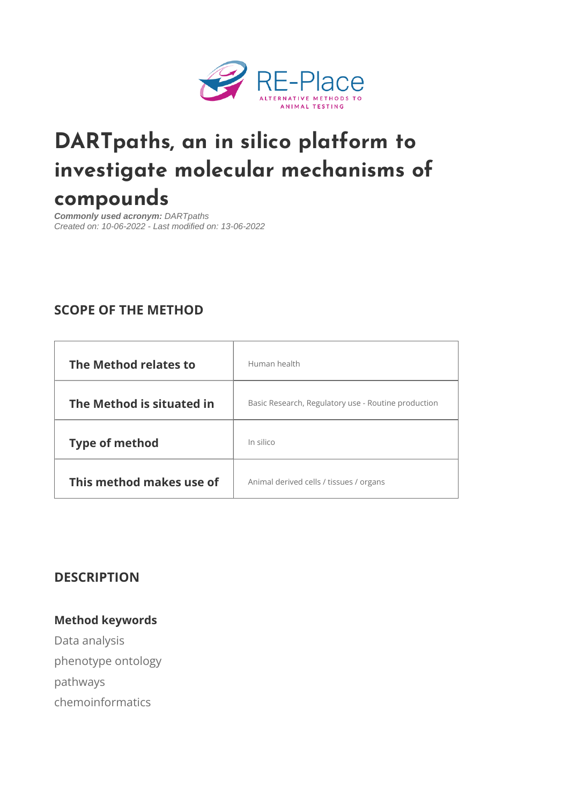# [DARTpaths, an in silico p](https://re-place.be/method/dartpaths-silico-platform-investigate-molecular-mechanisms-compounds)latform investigate molecular mechanisms compounds

Commonly used acronym: DARTpaths Created on: 10-06-2022 - Last modified on: 13-06-2022

# SCOPE OF THE METHOD

| The Method relates to Human health |                                                                           |  |
|------------------------------------|---------------------------------------------------------------------------|--|
|                                    | The Method is situatedating Research, Regulatory use - Routine production |  |
| Type of method                     | In silico                                                                 |  |
|                                    | This method makes usenional derived cells / tissues / organs              |  |

DESCRIPTION

Method keywords Data analysis phenotype ontology pathways chemoinformatics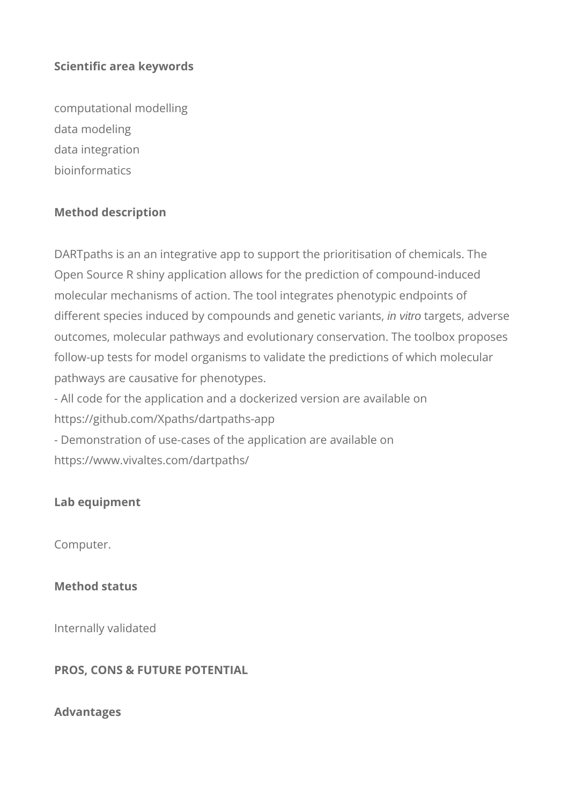# **Scientific area keywords**

computational modelling data modeling data integration bioinformatics

# **Method description**

DARTpaths is an an integrative app to support the prioritisation of chemicals. The Open Source R shiny application allows for the prediction of compound-induced molecular mechanisms of action. The tool integrates phenotypic endpoints of different species induced by compounds and genetic variants, in vitro targets, adverse outcomes, molecular pathways and evolutionary conservation. The toolbox proposes follow-up tests for model organisms to validate the predictions of which molecular pathways are causative for phenotypes.

- All code for the application and a dockerized version are available on https://github.com/Xpaths/dartpaths-app - Demonstration of use-cases of the application are available on https://www.vivaltes.com/dartpaths/

# **Lab equipment**

Computer.

# **Method status**

Internally validated

# **PROS, CONS & FUTURE POTENTIAL**

#### **Advantages**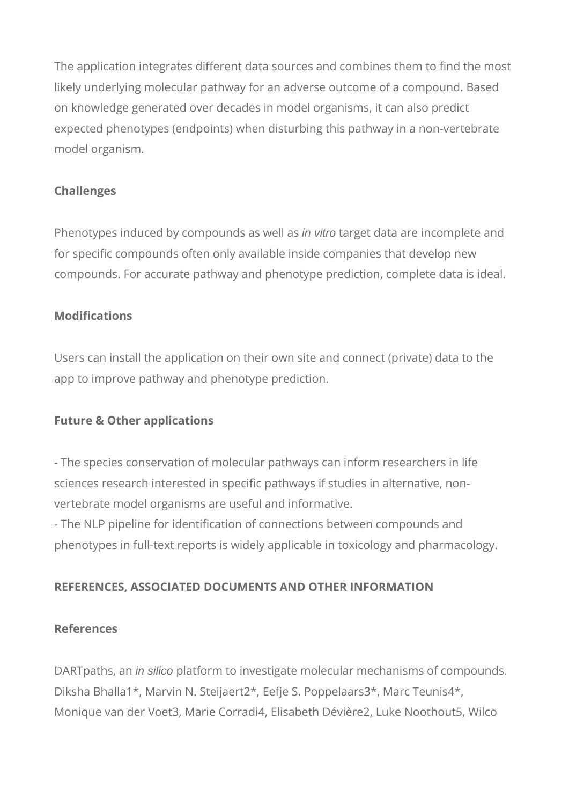The application integrates different data sources and combines them to find the most likely underlying molecular pathway for an adverse outcome of a compound. Based on knowledge generated over decades in model organisms, it can also predict expected phenotypes (endpoints) when disturbing this pathway in a non-vertebrate model organism.

# **Challenges**

Phenotypes induced by compounds as well as in vitro target data are incomplete and for specific compounds often only available inside companies that develop new compounds. For accurate pathway and phenotype prediction, complete data is ideal.

# **Modifications**

Users can install the application on their own site and connect (private) data to the app to improve pathway and phenotype prediction.

# **Future & Other applications**

- The species conservation of molecular pathways can inform researchers in life sciences research interested in specific pathways if studies in alternative, nonvertebrate model organisms are useful and informative.

- The NLP pipeline for identification of connections between compounds and phenotypes in full-text reports is widely applicable in toxicology and pharmacology.

# **REFERENCES, ASSOCIATED DOCUMENTS AND OTHER INFORMATION**

# **References**

DARTpaths, an in silico platform to investigate molecular mechanisms of compounds. Diksha Bhalla1\*, Marvin N. Steijaert2\*, Eefje S. Poppelaars3\*, Marc Teunis4\*, Monique van der Voet3, Marie Corradi4, Elisabeth Dévière2, Luke Noothout5, Wilco